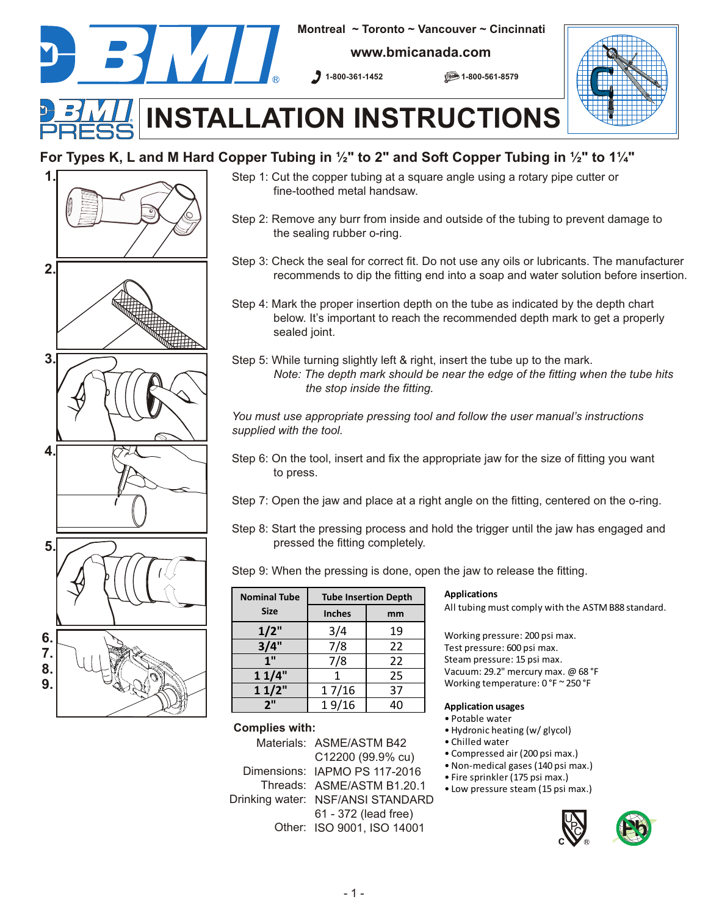

**www.bmicanada.com**

**1-800-361-1452 1-800-561-8579**



## **INSTALLATION INSTRUCTIONS** PRESS

### **For Types K, L and M Hard Copper Tubing in ½" to 2" and Soft Copper Tubing in ½" to 1¼"**



- Step 1: Cut the copper tubing at a square angle using a rotary pipe cutter or fine-toothed metal handsaw.
- Step 2: Remove any burr from inside and outside of the tubing to prevent damage to the sealing rubber o-ring.
- Step 3: Check the seal for correct fit. Do not use any oils or lubricants. The manufacturer recommends to dip the fitting end into a soap and water solution before insertion.
- Step 4: Mark the proper insertion depth on the tube as indicated by the depth chart below. It's important to reach the recommended depth mark to get a properly sealed joint.
- Step 5: While turning slightly left & right, insert the tube up to the mark. *Note: The depth mark should be near the edge of the fitting when the tube hits the stop inside the fitting.*

*You must use appropriate pressing tool and follow the user manual's instructions supplied with the tool.*

- Step 6: On the tool, insert and fix the appropriate jaw for the size of fitting you want to press.
- Step 7: Open the jaw and place at a right angle on the fitting, centered on the o-ring.
- Step 8: Start the pressing process and hold the trigger until the jaw has engaged and pressed the fitting completely.

Step 9: When the pressing is done, open the jaw to release the fitting.

| <b>Nominal Tube</b><br><b>Size</b> | <b>Tube Insertion Depth</b> |    |
|------------------------------------|-----------------------------|----|
|                                    | <b>Inches</b>               | mm |
| 1/2"                               | 3/4                         | 19 |
| 3/4"                               | 7/8                         | 22 |
| 1"                                 | 7/8                         | 22 |
| 11/4"                              |                             | 25 |
| 11/2"                              | 17/16                       | 37 |
| 2"                                 | 19/16                       | 40 |

**Complies with:**

#### **Applications**

All tubing must comply with the ASTM B88 standard.

Working pressure: 200 psi max. Test pressure: 600 psi max. Steam pressure: 15 psi max. Vacuum: 29.2" mercury max. @ 68 °F Working temperature: 0 °F ~ 250 °F

#### **Application usages**

- Potable water
- Hydronic heating (w/ glycol)
- Chilled water
- Compressed air (200 psi max.)
- Non-medical gases (140 psi max.)
- Fire sprinkler (175 psi max.)
- Low pressure steam (15 psi max.)





Materials: ASME/ASTM B42 Dimensions: IAPMO PS 117-2016 Threads: ASME/ASTM B1.20.1 Drinking water: NSF/ANSI STANDARD Other: ISO 9001, ISO 14001 **Pbe** C12200 (99.9% cu) 61 - 372 (lead free)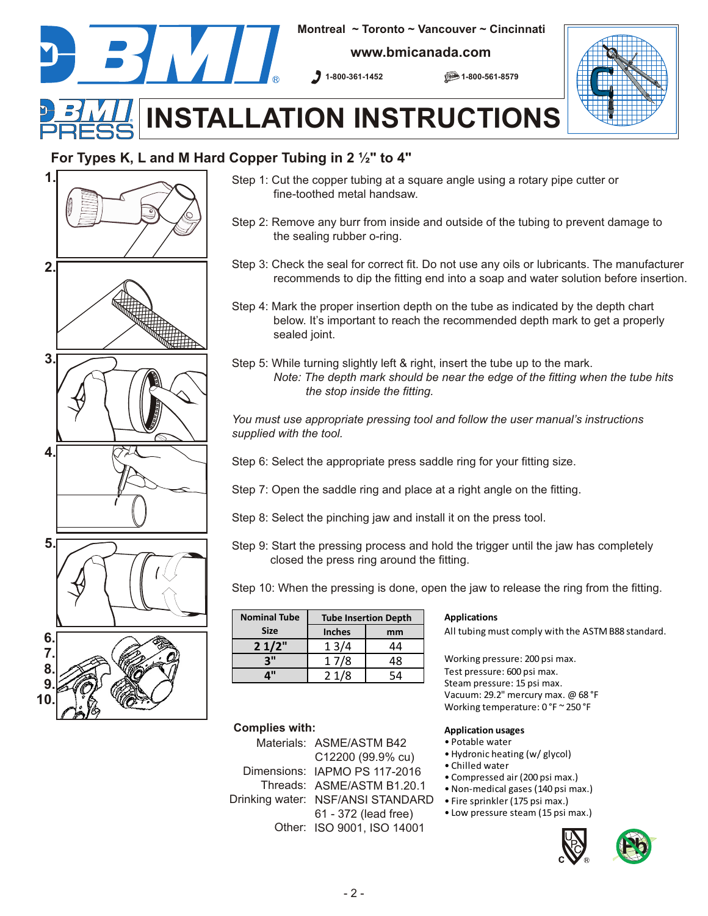

**www.bmicanada.com**

**1-800-361-1452 1-800-561-8579**



## **INSTALLATION INSTRUCTIONS** PRESS

### **For Types K, L and M Hard Copper Tubing in 2 ½" to 4"**



- Step 1: Cut the copper tubing at a square angle using a rotary pipe cutter or fine-toothed metal handsaw.
- Step 2: Remove any burr from inside and outside of the tubing to prevent damage to the sealing rubber o-ring.
- Step 3: Check the seal for correct fit. Do not use any oils or lubricants. The manufacturer recommends to dip the fitting end into a soap and water solution before insertion.
- Step 4: Mark the proper insertion depth on the tube as indicated by the depth chart below. It's important to reach the recommended depth mark to get a properly sealed joint.
- Step 5: While turning slightly left & right, insert the tube up to the mark. *Note: The depth mark should be near the edge of the fitting when the tube hits the stop inside the fitting.*

*You must use appropriate pressing tool and follow the user manual's instructions supplied with the tool.*

Step 6: Select the appropriate press saddle ring for your fitting size.

- Step 7: Open the saddle ring and place at a right angle on the fitting.
- Step 8: Select the pinching jaw and install it on the press tool.
- Step 9: Start the pressing process and hold the trigger until the jaw has completely closed the press ring around the fitting.
- Step 10: When the pressing is done, open the jaw to release the ring from the fitting.

| <b>Nominal Tube</b> | <b>Tube Insertion Depth</b> |    |
|---------------------|-----------------------------|----|
| <b>Size</b>         | <b>Inches</b>               | mm |
| 21/2"               | 13/4                        | 44 |
| ייפ                 | 17/8                        | 48 |
| יי ב                | 21/8                        | 54 |

## **Applications**

All tubing must comply with the ASTM B88 standard.

Working pressure: 200 psi max. Test pressure: 600 psi max. Steam pressure: 15 psi max. Vacuum: 29.2" mercury max. @ 68 °F Working temperature: 0 °F ~ 250 °F

#### **Complies with:**

Materials: ASME/ASTM B42 Dimensions: IAPMO PS 117-2016 Threads: ASME/ASTM B1.20.1 Drinking water: NSF/ANSI STANDARD Other: ISO 9001, ISO 14001 C12200 (99.9% cu) 61 - 372 (lead free)

### **Application usages**

- Potable water • Hydronic heating (w/ glycol)
- Chilled water
- 
- Compressed air (200 psi max.) • Non-medical gases (140 psi max.)
- Fire sprinkler (175 psi max.)
- Low pressure steam (15 psi max.)
	-

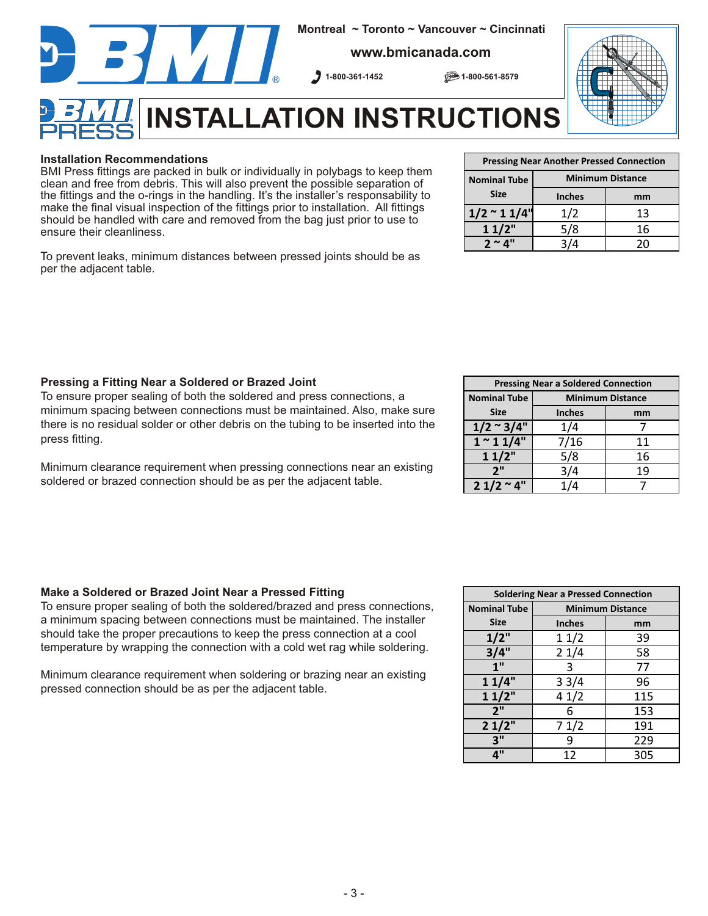

**www.bmicanada.com**

**1-800-361-1452 1-800-561-8579**



## **INSTALLATION INSTRUCTIONS** PRESS

#### **Installation Recommendations**

BMI Press fittings are packed in bulk or individually in polybags to keep them clean and free from debris. This will also prevent the possible separation of the fittings and the o-rings in the handling. It's the installer's responsability to make the final visual inspection of the fittings prior to installation. All fittings should be handled with care and removed from the bag just prior to use to ensure their cleanliness.

To prevent leaks, minimum distances between pressed joints should be as per the adjacent table.

| <b>Pressing Near Another Pressed Connection</b> |                         |    |  |
|-------------------------------------------------|-------------------------|----|--|
| <b>Nominal Tube</b>                             | <b>Minimum Distance</b> |    |  |
| <b>Size</b>                                     | <b>Inches</b>           | mm |  |
| $1/2 \sim 11/4$ "                               | 1/2                     | 13 |  |
| 11/2"                                           | 5/8                     | 16 |  |
| $2^{1/2}$                                       |                         | วก |  |

To ensure proper sealing of both the soldered and press connections, a minimum spacing between connections must be maintained. Also, make sure there is no residual solder or other debris on the tubing to be inserted into the press fitting.

Minimum clearance requirement when pressing connections near an existing soldered or brazed connection should be as per the adjacent table.

| <b>Pressing Near a Soldered Connection</b> |                         |    |
|--------------------------------------------|-------------------------|----|
| <b>Nominal Tube</b>                        | <b>Minimum Distance</b> |    |
| <b>Size</b>                                | <b>Inches</b>           | mm |
| $1/2 \approx 3/4$ "                        | 1/4                     |    |
| $1^{\sim}11/4$ "                           | 7/16                    | 11 |
| 11/2"                                      | 5/8                     | 16 |
| 2"                                         | 3/4                     | 19 |
| $21/2$ ~ 4"                                |                         |    |

#### **Make a Soldered or Brazed Joint Near a Pressed Fitting**

To ensure proper sealing of both the soldered/brazed and press connections, a minimum spacing between connections must be maintained. The installer should take the proper precautions to keep the press connection at a cool temperature by wrapping the connection with a cold wet rag while soldering.

Minimum clearance requirement when soldering or brazing near an existing pressed connection should be as per the adjacent table.

| <b>Soldering Near a Pressed Connection</b> |                         |     |
|--------------------------------------------|-------------------------|-----|
| <b>Nominal Tube</b>                        | <b>Minimum Distance</b> |     |
| <b>Size</b>                                | <b>Inches</b>           | mm  |
| $1/2$ "                                    | 11/2                    | 39  |
| 3/4"                                       | 21/4                    | 58  |
| 1"                                         | 3                       | 77  |
| 11/4"                                      | 33/4                    | 96  |
| 11/2                                       | 41/2                    | 115 |
| 2"                                         | 6                       | 153 |
| $2^{1/2"}$                                 | 71/2                    | 191 |
| 3"                                         | q                       | 229 |
|                                            | 12                      | 305 |